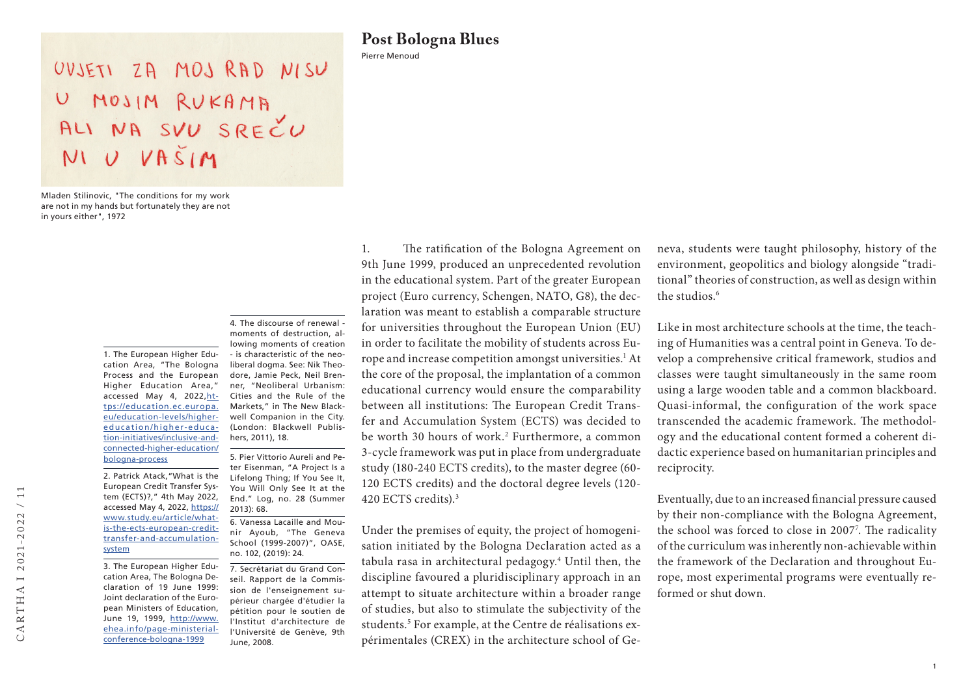## UVJETI ZA MOJ RAD NISU U MOSIM RUKAMA ALI NA SVU SREČU NI U VAŠIM

Mladen Stilinovic, "The conditions for my work are not in my hands but fortunately they are not in yours either", 1972

> 1. The European Higher Education Area, "The Bologna Process and the European Higher Education Area," accessed May 4, 2022, ht[tps://education.ec.europa.](https://education.ec.europa.eu/education-levels/higher-education/higher-education-initiatives/inclus) [eu/education-levels/higher](https://education.ec.europa.eu/education-levels/higher-education/higher-education-initiatives/inclus)[education/higher-educa](https://education.ec.europa.eu/education-levels/higher-education/higher-education-initiatives/inclus)[tion-initiatives/inclusive-and](https://education.ec.europa.eu/education-levels/higher-education/higher-education-initiatives/inclus)[connected-higher-education/](https://education.ec.europa.eu/education-levels/higher-education/higher-education-initiatives/inclus) **[bologna-process](https://education.ec.europa.eu/education-levels/higher-education/higher-education-initiatives/inclus)** 5. Pier Vittorio Aureli and Pe-

2. Patrick Atack,"What is the European Credit Transfer System (ECTS)?," 4th May 2022, accessed May 4, 2022, https:// www.study.eu/article/whatis-the-ects-european-credittransfer-and-accumulationsystem

3. The European Higher Education Area, The Bologna Declaration of 19 June 1999: Joint declaration of the European Ministers of Education, June 19, 1999, http://www. ehea.info/page-ministerialconference-bologna-1999

moments of destruction, allowing moments of creation - is characteristic of the neoliberal dogma. See: Nik Theodore, Jamie Peck, Neil Brenner, "Neoliberal Urbanism: Cities and the Rule of the Markets," in The New Blackwell Companion in the City. (London: Blackwell Publishers, 2011), 18.

4. The discourse of renewal -

ter Eisenman, "A Project Is a Lifelong Thing; If You See It, You Will Only See It at the End." Log, no. 28 (Summer 2013): 68.

6. Vanessa Lacaille and Mounir Ayoub, "The Geneva School (1999-2007)", OASE, no. 102, (2019): 24.

7. Secrétariat du Grand Conseil. Rapport de la Commission de l'enseignement supérieur chargée d'étudier la pétition pour le soutien de l'Institut d'architecture de l'Université de Genève, 9th June, 2008.

**Post Bologna Blues**

Pierre Menoud

1. The ratification of the Bologna Agreement on 9th June 1999, produced an unprecedented revolution in the educational system. Part of the greater European project (Euro currency, Schengen, NATO, G8), the declaration was meant to establish a comparable structure for universities throughout the European Union (EU) in order to facilitate the mobility of students across Europe and increase competition amongst universities.<sup>1</sup> At the core of the proposal, the implantation of a common educational currency would ensure the comparability between all institutions: The European Credit Transfer and Accumulation System (ECTS) was decided to be worth 30 hours of work.2 Furthermore, a common 3-cycle framework was put in place from undergraduate study (180-240 ECTS credits), to the master degree (60- 120 ECTS credits) and the doctoral degree levels (120- 420 ECTS credits).3

Under the premises of equity, the project of homogenisation initiated by the Bologna Declaration acted as a tabula rasa in architectural pedagogy.4 Until then, the discipline favoured a pluridisciplinary approach in an attempt to situate architecture within a broader range of studies, but also to stimulate the subjectivity of the students.<sup>5</sup> For example, at the Centre de réalisations expérimentales (CREX) in the architecture school of Geneva, students were taught philosophy, history of the environment, geopolitics and biology alongside "traditional" theories of construction, as well as design within the studios.<sup>6</sup>

Like in most architecture schools at the time, the teaching of Humanities was a central point in Geneva. To develop a comprehensive critical framework, studios and classes were taught simultaneously in the same room using a large wooden table and a common blackboard. Quasi-informal, the configuration of the work space transcended the academic framework. The methodology and the educational content formed a coherent didactic experience based on humanitarian principles and reciprocity.

Eventually, due to an increased financial pressure caused by their non-compliance with the Bologna Agreement, the school was forced to close in 2007<sup>7</sup>. The radicality of the curriculum was inherently non-achievable within the framework of the Declaration and throughout Europe, most experimental programs were eventually reformed or shut down.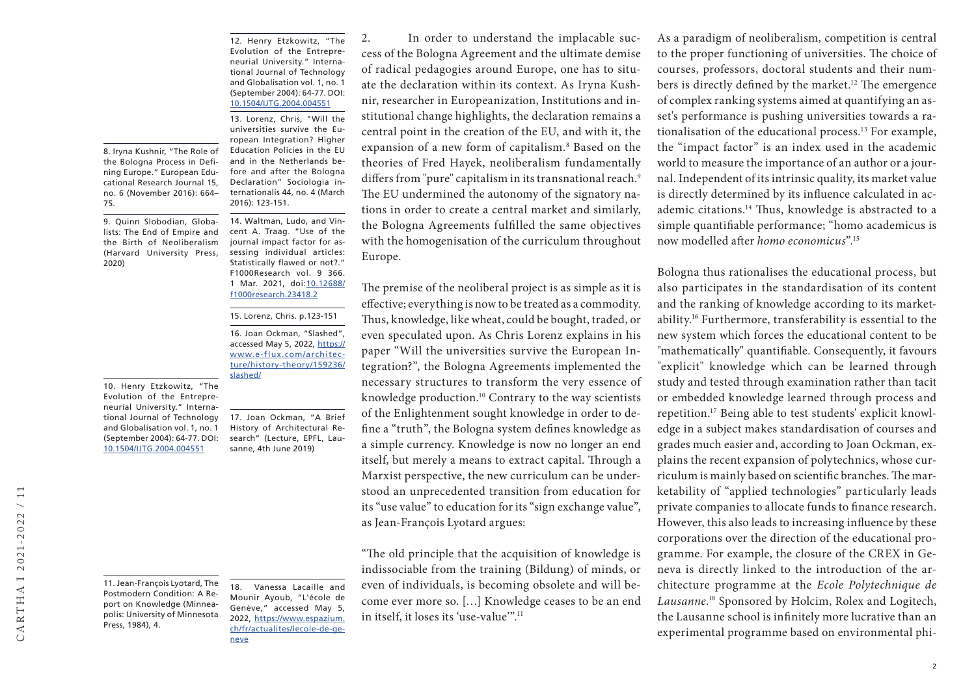8. Iryna Kushnir, "The Role of the Bologna Process in Defining Europe." European Educational Research Journal 15, no. 6 (November 2016): 664– 75. [10.1504/IJTG.2004.004551](http://10.1504/IJTG.2004.004551) 13. Lorenz, Chris, "Will the

9. Quinn Slobodian, Globalists: The End of Empire and the Birth of Neoliberalism (Harvard University Press, 2020)

10. Henry Etzkowitz, "The Evolution of the Entrepreneurial University." International Journal of Technology and Globalisation vol. 1, no. 1 (September 2004): 64-77. DOI: [10.1504/IJTG.2004.004551](http://10.1504/IJTG.2004.004551)

universities survive the European Integration? Higher Education Policies in the EU and in the Netherlands before and after the Bologna Declaration" Sociologia internationalis 44, no. 4 (March 2016): 123-151.

12. Henry Etzkowitz, "The Evolution of the Entrepreneurial University." International Journal of Technology and Globalisation vol. 1, no. 1 (September 2004): 64-77. DOI:

14. Waltman, Ludo, and Vincent A. Traag. "Use of the journal impact factor for assessing individual articles: Statistically flawed or not?." F1000Research vol. 9 366. 1 Mar. 2021, doi: [10.12688/](http://10.12688/f1000research.23418.2) [f1000research.23418.2](http://10.12688/f1000research.23418.2)

## 15. Lorenz, Chris. p.123-151 16. Joan Ockman, "Slashed",

accessed May 5, 2022, [https://](https://www.e-flux.com/architecture/history-theory/159236/slashed/) [www.e-flux.com/architec](https://www.e-flux.com/architecture/history-theory/159236/slashed/)[ture/history-theory/159236/](https://www.e-flux.com/architecture/history-theory/159236/slashed/) [slashed/](https://www.e-flux.com/architecture/history-theory/159236/slashed/)

17. Joan Ockman, "A Brief History of Architectural Research" (Lecture, EPFL, Lausanne, 4th June 2019)

11. Jean-François Lyotard, The Postmodern Condition: A Report on Knowledge (Minneapolis: University of Minnesota Press, 1984), 4.

18. Vanessa Lacaille and Mounir Ayoub, "L'école de Genève," accessed May 5, 2022, [https://www.espazium.](https://www.espazium.ch/fr/actualites/lecole-de-geneve) [ch/fr/actualites/lecole-de-ge-](https://www.espazium.ch/fr/actualites/lecole-de-geneve)

2. In order to understand the implacable success of the Bologna Agreement and the ultimate demise of radical pedagogies around Europe, one has to situate the declaration within its context. As Iryna Kushnir, researcher in Europeanization, Institutions and institutional change highlights, the declaration remains a central point in the creation of the EU, and with it, the expansion of a new form of capitalism.8 Based on the theories of Fred Hayek, neoliberalism fundamentally differs from "pure" capitalism in its transnational reach.<sup>9</sup> The EU undermined the autonomy of the signatory nations in order to create a central market and similarly, the Bologna Agreements fulfilled the same objectives with the homogenisation of the curriculum throughout Europe.

The premise of the neoliberal project is as simple as it is effective; everything is now to be treated as a commodity. Thus, knowledge, like wheat, could be bought, traded, or even speculated upon. As Chris Lorenz explains in his paper "Will the universities survive the European Integration?", the Bologna Agreements implemented the necessary structures to transform the very essence of knowledge production.10 Contrary to the way scientists of the Enlightenment sought knowledge in order to define a "truth", the Bologna system defines knowledge as a simple currency. Knowledge is now no longer an end itself, but merely a means to extract capital. Through a Marxist perspective, the new curriculum can be understood an unprecedented transition from education for its "use value" to education for its "sign exchange value", as Jean-François Lyotard argues:

"The old principle that the acquisition of knowledge is indissociable from the training (Bildung) of minds, or even of individuals, is becoming obsolete and will become ever more so. […] Knowledge ceases to be an end in itself, it loses its 'use-value'".11

As a paradigm of neoliberalism, competition is central to the proper functioning of universities. The choice of courses, professors, doctoral students and their numbers is directly defined by the market.<sup>12</sup> The emergence of complex ranking systems aimed at quantifying an asset's performance is pushing universities towards a rationalisation of the educational process.13 For example, the "impact factor" is an index used in the academic world to measure the importance of an author or a journal. Independent of its intrinsic quality, its market value is directly determined by its influence calculated in academic citations.14 Thus, knowledge is abstracted to a simple quantifiable performance; "homo academicus is now modelled after *homo economicus*".15

Bologna thus rationalises the educational process, but also participates in the standardisation of its content and the ranking of knowledge according to its marketability.16 Furthermore, transferability is essential to the new system which forces the educational content to be "mathematically" quantifiable. Consequently, it favours "explicit" knowledge which can be learned through study and tested through examination rather than tacit or embedded knowledge learned through process and repetition.17 Being able to test students' explicit knowledge in a subject makes standardisation of courses and grades much easier and, according to Joan Ockman, explains the recent expansion of polytechnics, whose curriculum is mainly based on scientific branches. The marketability of "applied technologies" particularly leads private companies to allocate funds to finance research. However, this also leads to increasing influence by these corporations over the direction of the educational programme. For example, the closure of the CREX in Geneva is directly linked to the introduction of the architecture programme at the *Ecole Polytechnique de Lausanne*. 18 Sponsored by Holcim, Rolex and Logitech, the Lausanne school is infinitely more lucrative than an experimental programme based on environmental phi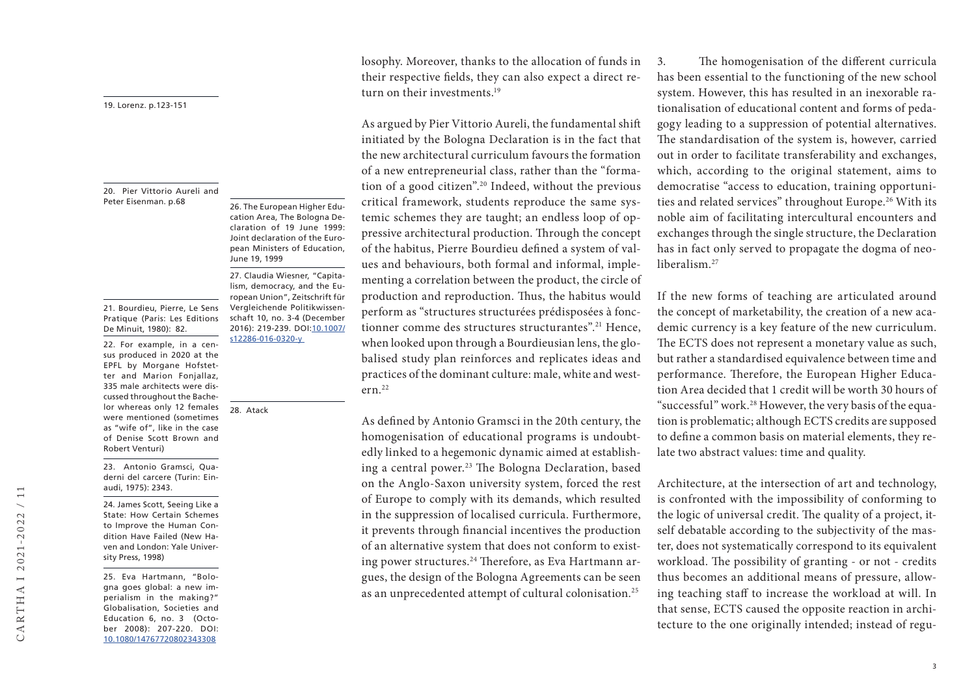19. Lorenz. p.123-151

20. Pier Vittorio Aureli and<br>Peter Eisenman. p.68

26. The European Higher Education Area, The Bologna Declaration of 19 June 1999: Joint declaration of the European Ministers of Education,

27. Claudia Wiesner, "Capitalism, democracy, and the European Union", Zeitschrift für Vergleichende Politikwissenschaft 10, no. 3-4 (December 2016): 219-239. DOI:[10.1007/](http://10.1007/s12286-016-0320-y ) [s12286-016-0320-y](http://10.1007/s12286-016-0320-y ) 

June 19, 1999

28. Atack

21. Bourdieu, Pierre, Le Sens Pratique (Paris: Les Editions De Minuit, 1980): 82.

22. For example, in a census produced in 2020 at the EPFL by Morgane Hofstetter and Marion Fonjallaz, 335 male architects were discussed throughout the Bachelor whereas only 12 females were mentioned (sometimes as "wife of", like in the case of Denise Scott Brown and Robert Venturi)

23. Antonio Gramsci, Quaderni del carcere (Turin: Einaudi, 1975): 2343.

24. James Scott, Seeing Like a State: How Certain Schemes to Improve the Human Condition Have Failed (New Haven and London: Yale University Press, 1998)

25. Eva Hartmann, "Bologna goes global: a new imperialism in the making?" Globalisation, Societies and Education 6, no. 3 (October 2008): 207-220. DOI: [10.1080/14767720802343308](http://10.1080/14767720802343308)

losophy. Moreover, thanks to the allocation of funds in their respective fields, they can also expect a direct return on their investments.<sup>19</sup>

As argued by Pier Vittorio Aureli, the fundamental shift initiated by the Bologna Declaration is in the fact that the new architectural curriculum favours the formation of a new entrepreneurial class, rather than the "formation of a good citizen".20 Indeed, without the previous critical framework, students reproduce the same systemic schemes they are taught; an endless loop of oppressive architectural production. Through the concept of the habitus, Pierre Bourdieu defined a system of values and behaviours, both formal and informal, implementing a correlation between the product, the circle of production and reproduction. Thus, the habitus would perform as "structures structurées prédisposées à fonctionner comme des structures structurantes".21 Hence, when looked upon through a Bourdieusian lens, the globalised study plan reinforces and replicates ideas and practices of the dominant culture: male, white and western.22

As defined by Antonio Gramsci in the 20th century, the homogenisation of educational programs is undoubtedly linked to a hegemonic dynamic aimed at establishing a central power.23 The Bologna Declaration, based on the Anglo-Saxon university system, forced the rest of Europe to comply with its demands, which resulted in the suppression of localised curricula. Furthermore, it prevents through financial incentives the production of an alternative system that does not conform to existing power structures.<sup>24</sup> Therefore, as Eva Hartmann argues, the design of the Bologna Agreements can be seen as an unprecedented attempt of cultural colonisation.25

3. The homogenisation of the different curricula has been essential to the functioning of the new school system. However, this has resulted in an inexorable rationalisation of educational content and forms of pedagogy leading to a suppression of potential alternatives. The standardisation of the system is, however, carried out in order to facilitate transferability and exchanges, which, according to the original statement, aims to democratise "access to education, training opportunities and related services" throughout Europe.<sup>26</sup> With its noble aim of facilitating intercultural encounters and exchanges through the single structure, the Declaration has in fact only served to propagate the dogma of neoliberalism.<sup>27</sup>

If the new forms of teaching are articulated around the concept of marketability, the creation of a new academic currency is a key feature of the new curriculum. The ECTS does not represent a monetary value as such, but rather a standardised equivalence between time and performance. Therefore, the European Higher Education Area decided that 1 credit will be worth 30 hours of "successful" work.28 However, the very basis of the equation is problematic; although ECTS credits are supposed to define a common basis on material elements, they relate two abstract values: time and quality.

Architecture, at the intersection of art and technology, is confronted with the impossibility of conforming to the logic of universal credit. The quality of a project, itself debatable according to the subjectivity of the master, does not systematically correspond to its equivalent workload. The possibility of granting - or not - credits thus becomes an additional means of pressure, allowing teaching staff to increase the workload at will. In that sense, ECTS caused the opposite reaction in architecture to the one originally intended; instead of regu-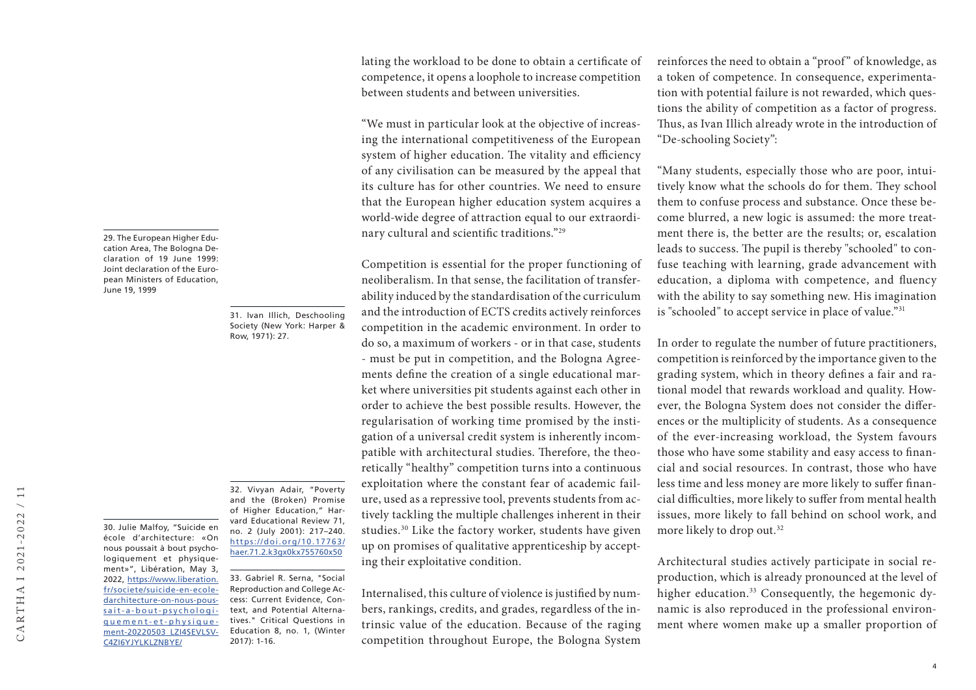29. The European Higher Education Area, The Bologna Declaration of 19 June 1999: Joint declaration of the European Ministers of Education, June 19, 1999

30. Julie Malfoy, "Suicide en école d'architecture: «On nous poussait à bout psychologiquement et physiquement»", Libération, May 3, 2022, [https://www.liberation.](https://www.liberation.fr/societe/suicide-en-ecole-darchitecture-on-nous-poussait-a-bout-psychologiq) [fr/societe/suicide-en-ecole](https://www.liberation.fr/societe/suicide-en-ecole-darchitecture-on-nous-poussait-a-bout-psychologiq)[darchitecture-on-nous-pous](https://www.liberation.fr/societe/suicide-en-ecole-darchitecture-on-nous-poussait-a-bout-psychologiq)[sait-a-bout-psychologi](https://www.liberation.fr/societe/suicide-en-ecole-darchitecture-on-nous-poussait-a-bout-psychologiq) [quement-et-physique](https://www.liberation.fr/societe/suicide-en-ecole-darchitecture-on-nous-poussait-a-bout-psychologiq) [ment-20220503\\_LZI4SEVLSV-](https://www.liberation.fr/societe/suicide-en-ecole-darchitecture-on-nous-poussait-a-bout-psychologiq)[C4ZI6YJYLKLZNBYE/](https://www.liberation.fr/societe/suicide-en-ecole-darchitecture-on-nous-poussait-a-bout-psychologiq)

31. Ivan Illich, Deschooling Society (New York: Harper & Row, 1971): 27.

32. Vivyan Adair, "Poverty and the (Broken) Promise of Higher Education," Harvard Educational Review 71, no. 2 (July 2001): 217–240. [https://doi.org/10.17763/](https://doi.org/10.17763/haer.71.2.k3gx0kx755760x50) [haer.71.2.k3gx0kx755760x50](https://doi.org/10.17763/haer.71.2.k3gx0kx755760x50)

33. Gabriel R. Serna, "Social Reproduction and College Access: Current Evidence, Context, and Potential Alternatives." Critical Questions in Education 8, no. 1, (Winter 2017): 1-16.

lating the workload to be done to obtain a certificate of competence, it opens a loophole to increase competition between students and between universities.

"We must in particular look at the objective of increasing the international competitiveness of the European system of higher education. The vitality and efficiency of any civilisation can be measured by the appeal that its culture has for other countries. We need to ensure that the European higher education system acquires a world-wide degree of attraction equal to our extraordinary cultural and scientific traditions."29

Competition is essential for the proper functioning of neoliberalism. In that sense, the facilitation of transferability induced by the standardisation of the curriculum and the introduction of ECTS credits actively reinforces competition in the academic environment. In order to do so, a maximum of workers - or in that case, students - must be put in competition, and the Bologna Agreements define the creation of a single educational market where universities pit students against each other in order to achieve the best possible results. However, the regularisation of working time promised by the instigation of a universal credit system is inherently incompatible with architectural studies. Therefore, the theoretically "healthy" competition turns into a continuous exploitation where the constant fear of academic failure, used as a repressive tool, prevents students from actively tackling the multiple challenges inherent in their studies.30 Like the factory worker, students have given up on promises of qualitative apprenticeship by accepting their exploitative condition.

Internalised, this culture of violence is justified by numbers, rankings, credits, and grades, regardless of the intrinsic value of the education. Because of the raging competition throughout Europe, the Bologna System

reinforces the need to obtain a "proof" of knowledge, as a token of competence. In consequence, experimentation with potential failure is not rewarded, which questions the ability of competition as a factor of progress. Thus, as Ivan Illich already wrote in the introduction of "De-schooling Society":

"Many students, especially those who are poor, intuitively know what the schools do for them. They school them to confuse process and substance. Once these become blurred, a new logic is assumed: the more treatment there is, the better are the results; or, escalation leads to success. The pupil is thereby "schooled" to confuse teaching with learning, grade advancement with education, a diploma with competence, and fluency with the ability to say something new. His imagination is "schooled" to accept service in place of value."31

In order to regulate the number of future practitioners, competition is reinforced by the importance given to the grading system, which in theory defines a fair and rational model that rewards workload and quality. However, the Bologna System does not consider the differences or the multiplicity of students. As a consequence of the ever-increasing workload, the System favours those who have some stability and easy access to financial and social resources. In contrast, those who have less time and less money are more likely to suffer financial difficulties, more likely to suffer from mental health issues, more likely to fall behind on school work, and more likely to drop out.32

Architectural studies actively participate in social reproduction, which is already pronounced at the level of higher education.<sup>33</sup> Consequently, the hegemonic dynamic is also reproduced in the professional environment where women make up a smaller proportion of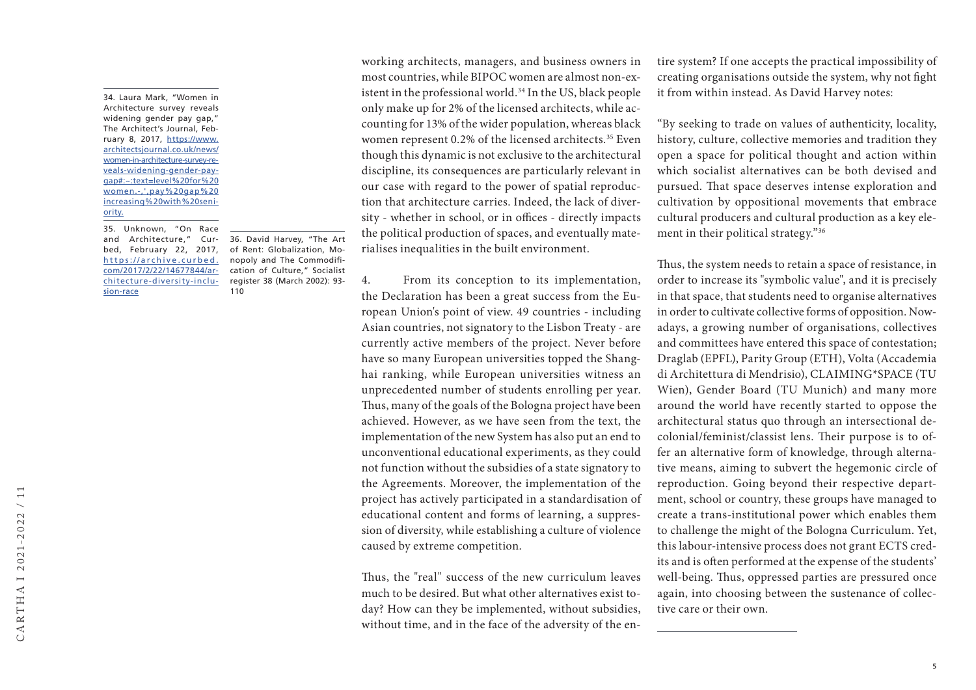34. Laura Mark, "Women in Architecture survey reveals widening gender pay gap." The Architect's Journal, February 8, 2017, [https://www.](https://www.architectsjournal.co.uk/news/women-in-architecture-survey-reveals-widening-gender-pay-ga) [architectsjournal.co.uk/news/](https://www.architectsjournal.co.uk/news/women-in-architecture-survey-reveals-widening-gender-pay-ga) [women-in-architecture-survey-re](https://www.architectsjournal.co.uk/news/women-in-architecture-survey-reveals-widening-gender-pay-ga)[veals-widening-gender-pay](https://www.architectsjournal.co.uk/news/women-in-architecture-survey-reveals-widening-gender-pay-ga)[gap#:~:text=level%20for%20](https://www.architectsjournal.co.uk/news/women-in-architecture-survey-reveals-widening-gender-pay-ga) [women.-,',pay%20gap%20](https://www.architectsjournal.co.uk/news/women-in-architecture-survey-reveals-widening-gender-pay-ga) [increasing%20with%20seni](https://www.architectsjournal.co.uk/news/women-in-architecture-survey-reveals-widening-gender-pay-ga)[ority.](https://www.architectsjournal.co.uk/news/women-in-architecture-survey-reveals-widening-gender-pay-ga)

35. Unknown, "On Race and Architecture," Curbed, February 22, 2017, [https://archive.curbed.](https://archive.curbed.com/2017/2/22/14677844/architecture-diversity-inclusion-race) [com/2017/2/22/14677844/ar](https://archive.curbed.com/2017/2/22/14677844/architecture-diversity-inclusion-race)[chitecture-diversity-inclu](https://archive.curbed.com/2017/2/22/14677844/architecture-diversity-inclusion-race)[sion-race](https://archive.curbed.com/2017/2/22/14677844/architecture-diversity-inclusion-race)

36. David Harvey, "The Art of Rent: Globalization, Monopoly and The Commodification of Culture," Socialist register 38 (March 2002): 93- 110

working architects, managers, and business owners in most countries, while BIPOC women are almost non-existent in the professional world.<sup>34</sup> In the US, black people only make up for 2% of the licensed architects, while accounting for 13% of the wider population, whereas black women represent 0.2% of the licensed architects.<sup>35</sup> Even though this dynamic is not exclusive to the architectural discipline, its consequences are particularly relevant in our case with regard to the power of spatial reproduction that architecture carries. Indeed, the lack of diversity - whether in school, or in offices - directly impacts the political production of spaces, and eventually materialises inequalities in the built environment.

4. From its conception to its implementation, the Declaration has been a great success from the European Union's point of view. 49 countries - including Asian countries, not signatory to the Lisbon Treaty - are currently active members of the project. Never before have so many European universities topped the Shanghai ranking, while European universities witness an unprecedented number of students enrolling per year. Thus, many of the goals of the Bologna project have been achieved. However, as we have seen from the text, the implementation of the new System has also put an end to unconventional educational experiments, as they could not function without the subsidies of a state signatory to the Agreements. Moreover, the implementation of the project has actively participated in a standardisation of educational content and forms of learning, a suppression of diversity, while establishing a culture of violence caused by extreme competition.

Thus, the "real" success of the new curriculum leaves much to be desired. But what other alternatives exist today? How can they be implemented, without subsidies, without time, and in the face of the adversity of the en-

tire system? If one accepts the practical impossibility of creating organisations outside the system, why not fight it from within instead. As David Harvey notes:

"By seeking to trade on values of authenticity, locality, history, culture, collective memories and tradition they open a space for political thought and action within which socialist alternatives can be both devised and pursued. That space deserves intense exploration and cultivation by oppositional movements that embrace cultural producers and cultural production as a key element in their political strategy."36

Thus, the system needs to retain a space of resistance, in order to increase its "symbolic value", and it is precisely in that space, that students need to organise alternatives in order to cultivate collective forms of opposition. Nowadays, a growing number of organisations, collectives and committees have entered this space of contestation; Draglab (EPFL), Parity Group (ETH), Volta (Accademia di Architettura di Mendrisio), CLAIMING\*SPACE (TU Wien), Gender Board (TU Munich) and many more around the world have recently started to oppose the architectural status quo through an intersectional decolonial/feminist/classist lens. Their purpose is to offer an alternative form of knowledge, through alternative means, aiming to subvert the hegemonic circle of reproduction. Going beyond their respective department, school or country, these groups have managed to create a trans-institutional power which enables them to challenge the might of the Bologna Curriculum. Yet, this labour-intensive process does not grant ECTS credits and is often performed at the expense of the students' well-being. Thus, oppressed parties are pressured once again, into choosing between the sustenance of collective care or their own.